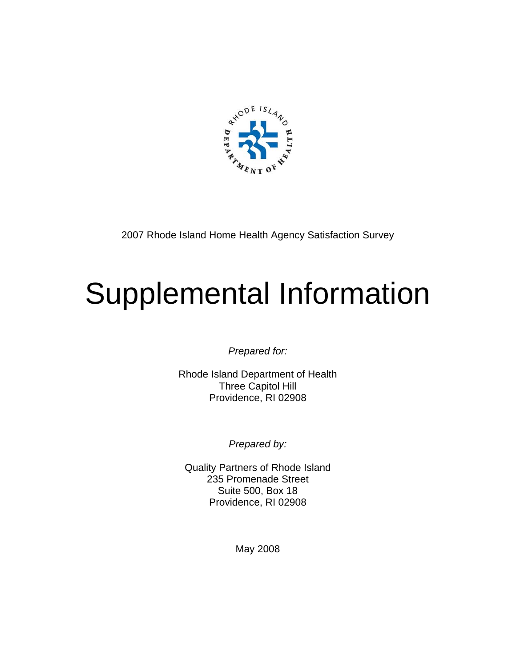

2007 Rhode Island Home Health Agency Satisfaction Survey

# Supplemental Information

*Prepared for:* 

Rhode Island Department of Health Three Capitol Hill Providence, RI 02908

*Prepared by:* 

Quality Partners of Rhode Island 235 Promenade Street Suite 500, Box 18 Providence, RI 02908

May 2008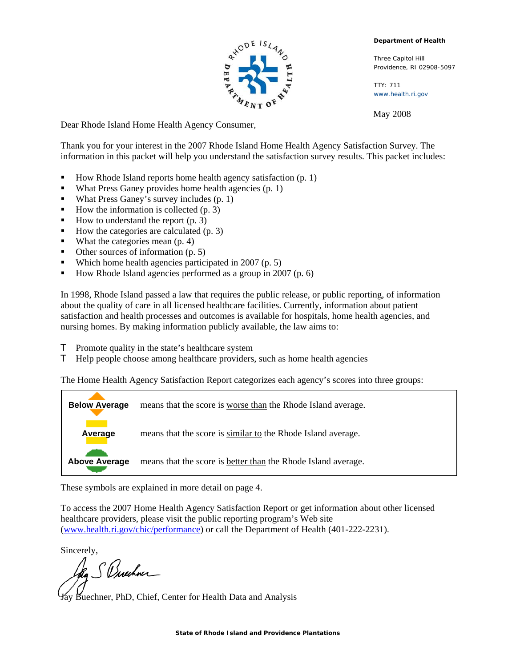

**Department of Health** 

Three Capitol Hill Providence, RI 02908-5097

TTY: 711 www.health.ri.gov

May 2008

Dear Rhode Island Home Health Agency Consumer,

Thank you for your interest in the 2007 Rhode Island Home Health Agency Satisfaction Survey. The information in this packet will help you understand the satisfaction survey results. This packet includes:

- How Rhode Island reports home health agency satisfaction  $(p, 1)$
- What Press Ganey provides home health agencies  $(p, 1)$
- What Press Ganey's survey includes (p. 1)
- How the information is collected  $(p, 3)$
- How to understand the report  $(p, 3)$
- How the categories are calculated  $(p, 3)$
- What the categories mean  $(p, 4)$
- $\blacksquare$  Other sources of information (p. 5)
- Which home health agencies participated in 2007 (p. 5)
- How Rhode Island agencies performed as a group in 2007 (p. 6)

In 1998, Rhode Island passed a law that requires the public release, or public reporting, of information about the quality of care in all licensed healthcare facilities. Currently, information about patient satisfaction and health processes and outcomes is available for hospitals, home health agencies, and nursing homes. By making information publicly available, the law aims to:

- **T** Promote quality in the state's healthcare system
- **T** Help people choose among healthcare providers, such as home health agencies

The Home Health Agency Satisfaction Report categorizes each agency's scores into three groups:



These symbols are explained in more detail on page 4.

To access the 2007 Home Health Agency Satisfaction Report or get information about other licensed healthcare providers, please visit the public reporting program's Web site (www.health.ri.gov/chic/performance) or call the Department of Health (401-222-2231).

Sincerely,

da. S Buschner

Jay Buechner, PhD, Chief, Center for Health Data and Analysis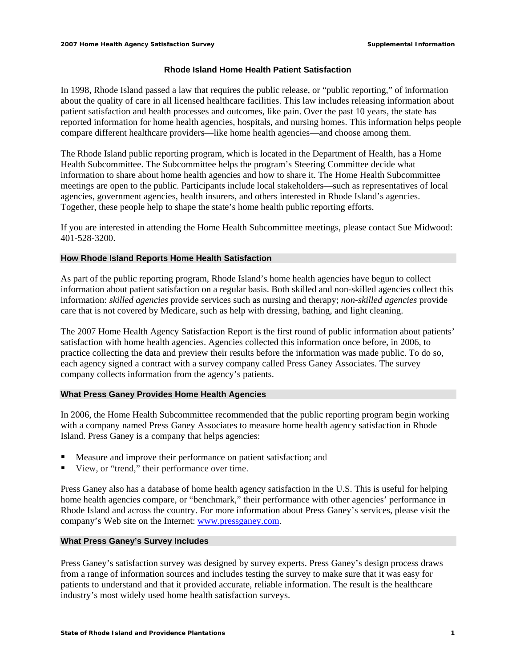## **Rhode Island Home Health Patient Satisfaction**

In 1998, Rhode Island passed a law that requires the public release, or "public reporting," of information about the quality of care in all licensed healthcare facilities. This law includes releasing information about patient satisfaction and health processes and outcomes, like pain. Over the past 10 years, the state has reported information for home health agencies, hospitals, and nursing homes. This information helps people compare different healthcare providers—like home health agencies—and choose among them.

The Rhode Island public reporting program, which is located in the Department of Health, has a Home Health Subcommittee. The Subcommittee helps the program's Steering Committee decide what information to share about home health agencies and how to share it. The Home Health Subcommittee meetings are open to the public. Participants include local stakeholders—such as representatives of local agencies, government agencies, health insurers, and others interested in Rhode Island's agencies. Together, these people help to shape the state's home health public reporting efforts.

If you are interested in attending the Home Health Subcommittee meetings, please contact Sue Midwood: 401-528-3200.

#### **How Rhode Island Reports Home Health Satisfaction**

As part of the public reporting program, Rhode Island's home health agencies have begun to collect information about patient satisfaction on a regular basis. Both skilled and non-skilled agencies collect this information: *skilled agencies* provide services such as nursing and therapy; *non-skilled agencies* provide care that is not covered by Medicare, such as help with dressing, bathing, and light cleaning.

The 2007 Home Health Agency Satisfaction Report is the first round of public information about patients' satisfaction with home health agencies. Agencies collected this information once before, in 2006, to practice collecting the data and preview their results before the information was made public. To do so, each agency signed a contract with a survey company called Press Ganey Associates. The survey company collects information from the agency's patients.

## **What Press Ganey Provides Home Health Agencies**

In 2006, the Home Health Subcommittee recommended that the public reporting program begin working with a company named Press Ganey Associates to measure home health agency satisfaction in Rhode Island. Press Ganey is a company that helps agencies:

- Measure and improve their performance on patient satisfaction; and
- View, or "trend," their performance over time.

Press Ganey also has a database of home health agency satisfaction in the U.S. This is useful for helping home health agencies compare, or "benchmark," their performance with other agencies' performance in Rhode Island and across the country. For more information about Press Ganey's services, please visit the company's Web site on the Internet: www.pressganey.com.

#### **What Press Ganey's Survey Includes**

Press Ganey's satisfaction survey was designed by survey experts. Press Ganey's design process draws from a range of information sources and includes testing the survey to make sure that it was easy for patients to understand and that it provided accurate, reliable information. The result is the healthcare industry's most widely used home health satisfaction surveys.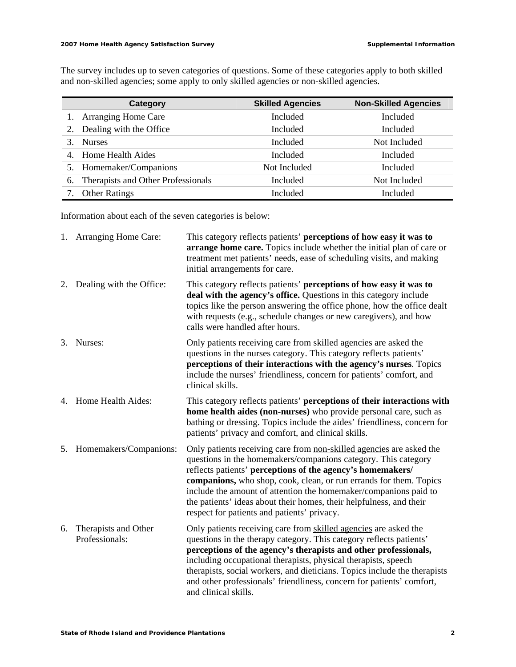The survey includes up to seven categories of questions. Some of these categories apply to both skilled and non-skilled agencies; some apply to only skilled agencies or non-skilled agencies.

| Category                                 | <b>Skilled Agencies</b> | <b>Non-Skilled Agencies</b> |
|------------------------------------------|-------------------------|-----------------------------|
| <b>Arranging Home Care</b>               | Included                | Included                    |
| Dealing with the Office                  | Included                | Included                    |
| <b>Nurses</b><br>3.                      | Included                | Not Included                |
| 4. Home Health Aides                     | Included                | Included                    |
| 5. Homemaker/Companions                  | Not Included            | Included                    |
| Therapists and Other Professionals<br>6. | Included                | Not Included                |
| <b>Other Ratings</b>                     | Included                | Included                    |

Information about each of the seven categories is below:

|    | 1. Arranging Home Care:                | This category reflects patients' perceptions of how easy it was to<br>arrange home care. Topics include whether the initial plan of care or<br>treatment met patients' needs, ease of scheduling visits, and making<br>initial arrangements for care.                                                                                                                                                                                                                |
|----|----------------------------------------|----------------------------------------------------------------------------------------------------------------------------------------------------------------------------------------------------------------------------------------------------------------------------------------------------------------------------------------------------------------------------------------------------------------------------------------------------------------------|
|    | 2. Dealing with the Office:            | This category reflects patients' perceptions of how easy it was to<br>deal with the agency's office. Questions in this category include<br>topics like the person answering the office phone, how the office dealt<br>with requests (e.g., schedule changes or new caregivers), and how<br>calls were handled after hours.                                                                                                                                           |
| 3. | Nurses:                                | Only patients receiving care from skilled agencies are asked the<br>questions in the nurses category. This category reflects patients'<br>perceptions of their interactions with the agency's nurses. Topics<br>include the nurses' friendliness, concern for patients' comfort, and<br>clinical skills.                                                                                                                                                             |
|    | 4. Home Health Aides:                  | This category reflects patients' perceptions of their interactions with<br>home health aides (non-nurses) who provide personal care, such as<br>bathing or dressing. Topics include the aides' friendliness, concern for<br>patients' privacy and comfort, and clinical skills.                                                                                                                                                                                      |
|    | 5. Homemakers/Companions:              | Only patients receiving care from non-skilled agencies are asked the<br>questions in the homemakers/companions category. This category<br>reflects patients' perceptions of the agency's homemakers/<br>companions, who shop, cook, clean, or run errands for them. Topics<br>include the amount of attention the homemaker/companions paid to<br>the patients' ideas about their homes, their helpfulness, and their<br>respect for patients and patients' privacy. |
| 6. | Therapists and Other<br>Professionals: | Only patients receiving care from skilled agencies are asked the<br>questions in the therapy category. This category reflects patients'<br>perceptions of the agency's therapists and other professionals,<br>including occupational therapists, physical therapists, speech<br>therapists, social workers, and dieticians. Topics include the therapists<br>and other professionals' friendliness, concern for patients' comfort,<br>and clinical skills.           |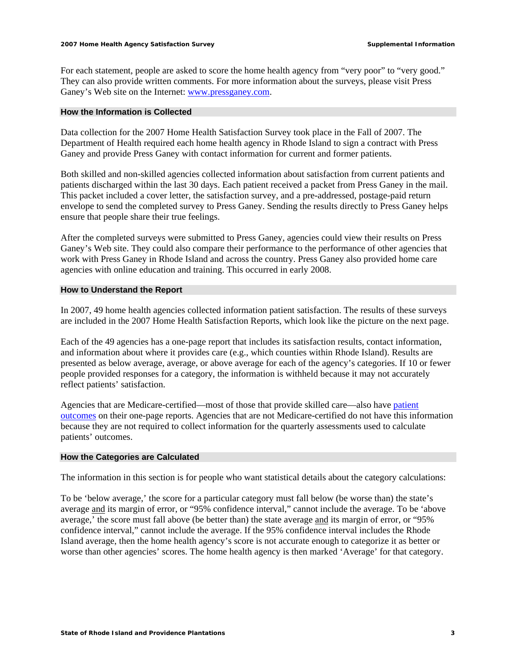For each statement, people are asked to score the home health agency from "very poor" to "very good." They can also provide written comments. For more information about the surveys, please visit Press Ganey's Web site on the Internet: www.pressganey.com.

## **How the Information is Collected**

Data collection for the 2007 Home Health Satisfaction Survey took place in the Fall of 2007. The Department of Health required each home health agency in Rhode Island to sign a contract with Press Ganey and provide Press Ganey with contact information for current and former patients.

Both skilled and non-skilled agencies collected information about satisfaction from current patients and patients discharged within the last 30 days. Each patient received a packet from Press Ganey in the mail. This packet included a cover letter, the satisfaction survey, and a pre-addressed, postage-paid return envelope to send the completed survey to Press Ganey. Sending the results directly to Press Ganey helps ensure that people share their true feelings.

After the completed surveys were submitted to Press Ganey, agencies could view their results on Press Ganey's Web site. They could also compare their performance to the performance of other agencies that work with Press Ganey in Rhode Island and across the country. Press Ganey also provided home care agencies with online education and training. This occurred in early 2008.

#### **How to Understand the Report**

In 2007, 49 home health agencies collected information patient satisfaction. The results of these surveys are included in the 2007 Home Health Satisfaction Reports, which look like the picture on the next page.

Each of the 49 agencies has a one-page report that includes its satisfaction results, contact information, and information about where it provides care (e.g., which counties within Rhode Island). Results are presented as below average, average, or above average for each of the agency's categories. If 10 or fewer people provided responses for a category, the information is withheld because it may not accurately reflect patients' satisfaction.

Agencies that are Medicare-certified—most of those that provide skilled care—also have patient outcomes on their one-page reports. Agencies that are not Medicare-certified do not have this information because they are not required to collect information for the quarterly assessments used to calculate patients' outcomes.

#### **How the Categories are Calculated**

The information in this section is for people who want statistical details about the category calculations:

To be 'below average,' the score for a particular category must fall below (be worse than) the state's average and its margin of error, or "95% confidence interval," cannot include the average. To be 'above average,' the score must fall above (be better than) the state average and its margin of error, or "95% confidence interval," cannot include the average. If the 95% confidence interval includes the Rhode Island average, then the home health agency's score is not accurate enough to categorize it as better or worse than other agencies' scores. The home health agency is then marked 'Average' for that category.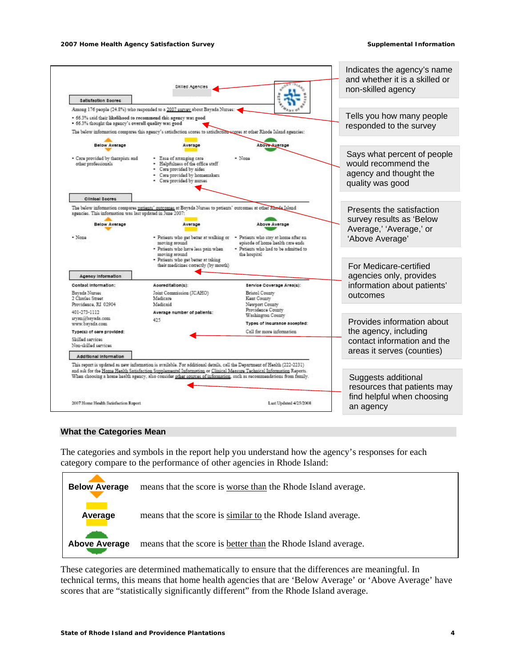

#### **What the Categories Mean**

The categories and symbols in the report help you understand how the agency's responses for each category compare to the performance of other agencies in Rhode Island:



These categories are determined mathematically to ensure that the differences are meaningful. In technical terms, this means that home health agencies that are 'Below Average' or 'Above Average' have scores that are "statistically significantly different" from the Rhode Island average.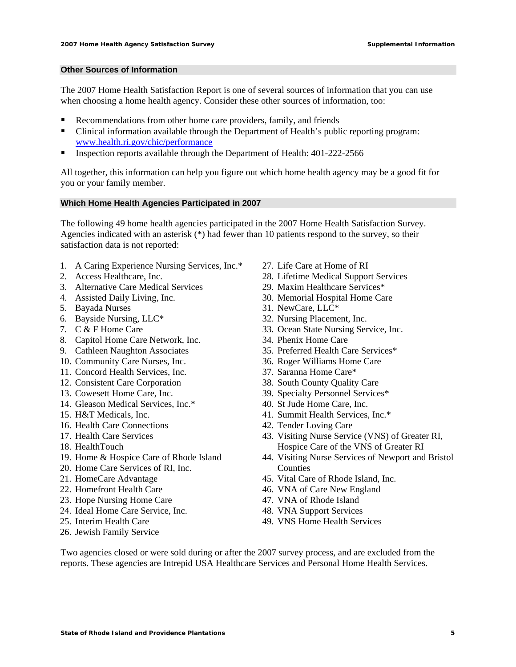# **Other Sources of Information**

The 2007 Home Health Satisfaction Report is one of several sources of information that you can use when choosing a home health agency. Consider these other sources of information, too:

- Recommendations from other home care providers, family, and friends
- Clinical information available through the Department of Health's public reporting program: www.health.ri.gov/chic/performance
- Inspection reports available through the Department of Health: 401-222-2566

All together, this information can help you figure out which home health agency may be a good fit for you or your family member.

#### **Which Home Health Agencies Participated in 2007**

The following 49 home health agencies participated in the 2007 Home Health Satisfaction Survey. Agencies indicated with an asterisk (\*) had fewer than 10 patients respond to the survey, so their satisfaction data is not reported:

- 1. A Caring Experience Nursing Services, Inc.\*
- 2. Access Healthcare, Inc.
- 3. Alternative Care Medical Services
- 4. Assisted Daily Living, Inc.
- 5. Bayada Nurses
- 6. Bayside Nursing, LLC\*
- 7. C & F Home Care
- 8. Capitol Home Care Network, Inc.
- 9. Cathleen Naughton Associates
- 10. Community Care Nurses, Inc.
- 11. Concord Health Services, Inc.
- 12. Consistent Care Corporation
- 13. Cowesett Home Care, Inc.
- 14. Gleason Medical Services, Inc.\*
- 15. H&T Medicals, Inc.
- 16. Health Care Connections
- 17. Health Care Services
- 18. HealthTouch
- 19. Home & Hospice Care of Rhode Island
- 20. Home Care Services of RI, Inc.
- 21. HomeCare Advantage
- 22. Homefront Health Care
- 23. Hope Nursing Home Care
- 24. Ideal Home Care Service, Inc.
- 25. Interim Health Care
- 26. Jewish Family Service
- 27. Life Care at Home of RI
- 28. Lifetime Medical Support Services
- 29. Maxim Healthcare Services\*
- 30. Memorial Hospital Home Care
- 31. NewCare, LLC\*
- 32. Nursing Placement, Inc.
- 33. Ocean State Nursing Service, Inc.
- 34. Phenix Home Care
- 35. Preferred Health Care Services\*
- 36. Roger Williams Home Care
- 37. Saranna Home Care\*
- 38. South County Quality Care
- 39. Specialty Personnel Services\*
- 40. St Jude Home Care, Inc.
- 41. Summit Health Services, Inc.\*
- 42. Tender Loving Care
- 43. Visiting Nurse Service (VNS) of Greater RI, Hospice Care of the VNS of Greater RI
- 44. Visiting Nurse Services of Newport and Bristol **Counties**
- 45. Vital Care of Rhode Island, Inc.
- 46. VNA of Care New England
- 47. VNA of Rhode Island
- 48. VNA Support Services
- 49. VNS Home Health Services

Two agencies closed or were sold during or after the 2007 survey process, and are excluded from the reports. These agencies are Intrepid USA Healthcare Services and Personal Home Health Services.